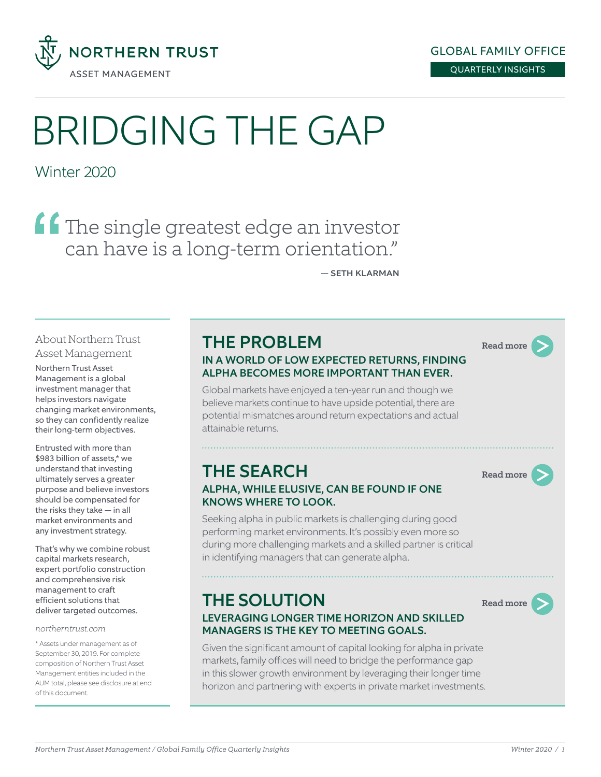<span id="page-0-0"></span>

# BRIDGING THE GAP

# Winter 2020

ff The single greatest edge an investor can have is a long-term orientation."

— SETH KLARMAN

## About Northern Trust Asset Management

Northern Trust Asset Management is a global investment manager that helps investors navigate changing market environments, so they can confidently realize their long-term objectives.

Entrusted with more than \$983 billion of assets,\* we understand that investing ultimately serves a greater purpose and believe investors should be compensated for the risks they take — in all market environments and any investment strategy.

That's why we combine robust capital markets research, expert portfolio construction and comprehensive risk management to craft efficient solutions that deliver targeted outcomes.

## *[northerntrust.com](https://www.northerntrust.com/)*

\* Assets under management as of September 30, 2019. For complete composition of Northern Trust Asset Management entities included in the AUM total, please see disclosure at end of this document.

## THE PROBLEM IN A WORLD OF LOW EXPECTED RETURNS, FINDING ALPHA BECOMES MORE IMPORTANT THAN EVER.

Global markets have enjoyed a ten-year run and though we believe markets continue to have upside potential, there are potential mismatches around return expectations and actual attainable returns.

# THE SEARCH ALPHA, WHILE ELUSIVE, CAN BE FOUND IF ONE KNOWS WHERE TO LOOK.

[Read more](#page-3-0)

[Read more](#page-1-0)

Seeking alpha in public markets is challenging during good performing market environments. It's possibly even more so during more challenging markets and a skilled partner is critical in identifying managers that can generate alpha.

# THE SOLUTION LEVERAGING LONGER TIME HORIZON AND SKILLED MANAGERS IS THE KEY TO MEETING GOALS.

[Read more](#page-4-0)

Given the significant amount of capital looking for alpha in private markets, family offices will need to bridge the performance gap in this slower growth environment by leveraging their longer time horizon and partnering with experts in private market investments.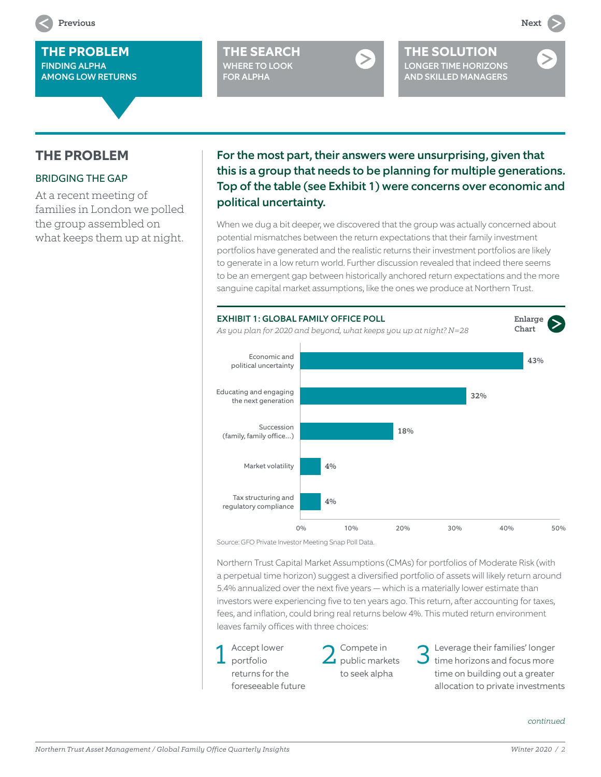# <span id="page-1-0"></span>**THE PROBLEM** FINDING ALPHA

AMONG LOW RETURNS

## **[THE SEARCH](#page-3-0)** WHERE TO LOOK FOR ALPHA



# **THE PROBLEM**

## BRIDGING THE GAP

At a recent meeting of families in London we polled the group assembled on what keeps them up at night.

# For the most part, their answers were unsurprising, given that this is a group that needs to be planning for multiple generations. Top of the table (see Exhibit 1) were concerns over economic and political uncertainty.

When we dug a bit deeper, we discovered that the group was actually concerned about potential mismatches between the return expectations that their family investment portfolios have generated and the realistic returns their investment portfolios are likely to generate in a low return world. Further discussion revealed that indeed there seems to be an emergent gap between historically anchored return expectations and the more sanguine capital market assumptions, like the ones we produce at Northern Trust.



Source: GFO Private Investor Meeting Snap Poll Data.

Northern Trust Capital Market Assumptions (CMAs) for portfolios of Moderate Risk (with a perpetual time horizon) suggest a diversified portfolio of assets will likely return around 5.4% annualized over the next five years — which is a materially lower estimate than investors were experiencing five to ten years ago. This return, after accounting for taxes, fees, and inflation, could bring real returns below 4%. This muted return environment leaves family offices with three choices:

Accept lower portfolio returns for the foreseeable future 2 Compete in<br>2 public markets to seek alpha

Leverage their families' longer time horizons and focus more time on building out a greater allocation to private investments

## *continued*

*Northern Trust Asset Management / Global Family Office Quarterly Insights Winter 2020 / 2*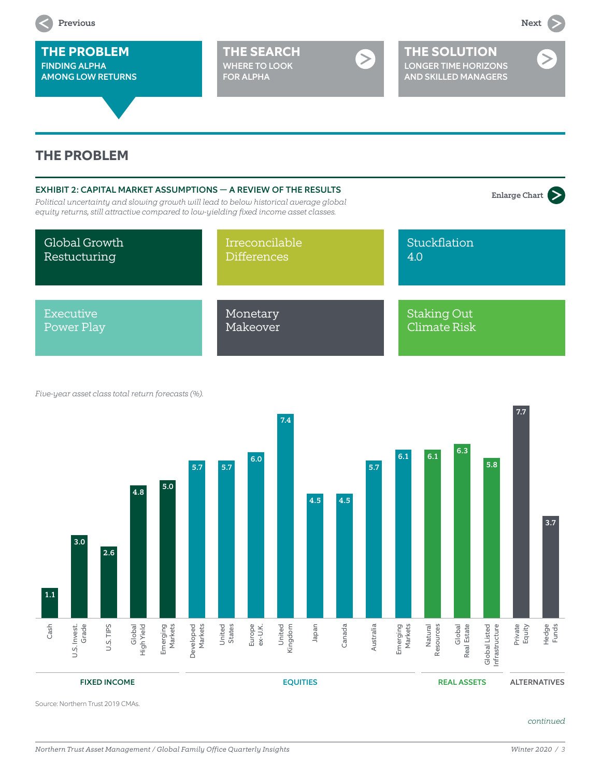<span id="page-2-0"></span>

## **[THE SEARCH](#page-3-0)** WHERE TO LOOK FOR ALPHA

# **THE PROBLEM**



*Five-year asset class total return forecasts (%).*



Source: Northern Trust 2019 CMAs.

*continued*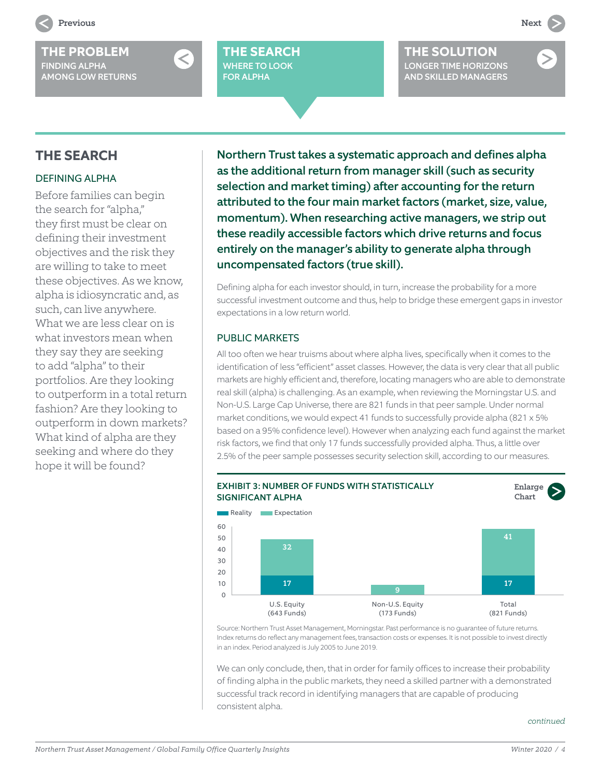

**THE SEARCH** WHERE TO LOOK FOR ALPHA

**[THE SOLUTION](#page-4-0)** LONGER TIME HORIZONS AND SKILLED MANAGERS

# <span id="page-3-0"></span>**THE SEARCH**

## DEFINING ALPHA

Before families can begin the search for "alpha," they first must be clear on defining their investment objectives and the risk they are willing to take to meet these objectives. As we know, alpha is idiosyncratic and, as such, can live anywhere. What we are less clear on is what investors mean when they say they are seeking to add "alpha" to their portfolios. Are they looking to outperform in a total return fashion? Are they looking to outperform in down markets? What kind of alpha are they seeking and where do they hope it will be found?

Northern Trust takes a systematic approach and defines alpha as the additional return from manager skill (such as security selection and market timing) after accounting for the return attributed to the four main market factors (market, size, value, momentum). When researching active managers, we strip out these readily accessible factors which drive returns and focus entirely on the manager's ability to generate alpha through uncompensated factors (true skill).

Defining alpha for each investor should, in turn, increase the probability for a more successful investment outcome and thus, help to bridge these emergent gaps in investor expectations in a low return world.

## PUBLIC MARKETS

All too often we hear truisms about where alpha lives, specifically when it comes to the identification of less "efficient" asset classes. However, the data is very clear that all public markets are highly efficient and, therefore, locating managers who are able to demonstrate real skill (alpha) is challenging. As an example, when reviewing the Morningstar U.S. and Non-U.S. Large Cap Universe, there are 821 funds in that peer sample. Under normal market conditions, we would expect 41 funds to successfully provide alpha (821 x 5% based on a 95% confidence level). However when analyzing each fund against the market risk factors, we find that only 17 funds successfully provided alpha. Thus, a little over 2.5% of the peer sample possesses security selection skill, according to our measures.



Source: Northern Trust Asset Management, Morningstar. Past performance is no guarantee of future returns. Index returns do reflect any management fees, transaction costs or expenses. It is not possible to invest directly in an index. Period analyzed is July 2005 to June 2019.

We can only conclude, then, that in order for family offices to increase their probability of finding alpha in the public markets, they need a skilled partner with a demonstrated successful track record in identifying managers that are capable of producing consistent alpha.

## *continued*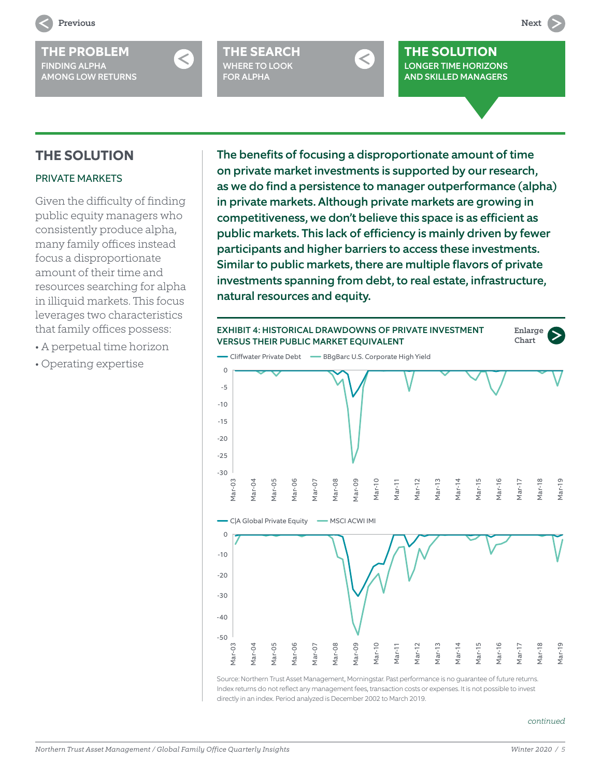

**[THE SEARCH](#page-3-0)** WHERE TO LOOK FOR ALPHA

## **THE SOLUTION** LONGER TIME HORIZONS AND SKILLED MANAGERS

# <span id="page-4-0"></span>**THE SOLUTION**

## PRIVATE MARKETS

Given the difficulty of finding public equity managers who consistently produce alpha, many family offices instead focus a disproportionate amount of their time and resources searching for alpha in illiquid markets. This focus leverages two characteristics that family offices possess:

- A perpetual time horizon
- Operating expertise

The benefits of focusing a disproportionate amount of time on private market investments is supported by our research, as we do find a persistence to manager outperformance (alpha) in private markets. Although private markets are growing in competitiveness, we don't believe this space is as efficient as public markets. This lack of efficiency is mainly driven by fewer participants and higher barriers to access these investments. Similar to public markets, there are multiple flavors of private investments spanning from debt, to real estate, infrastructure, natural resources and equity.



Index returns do not reflect any management fees, transaction costs or expenses. It is not possible to invest directly in an index. Period analyzed is December 2002 to March 2019.

### *continued*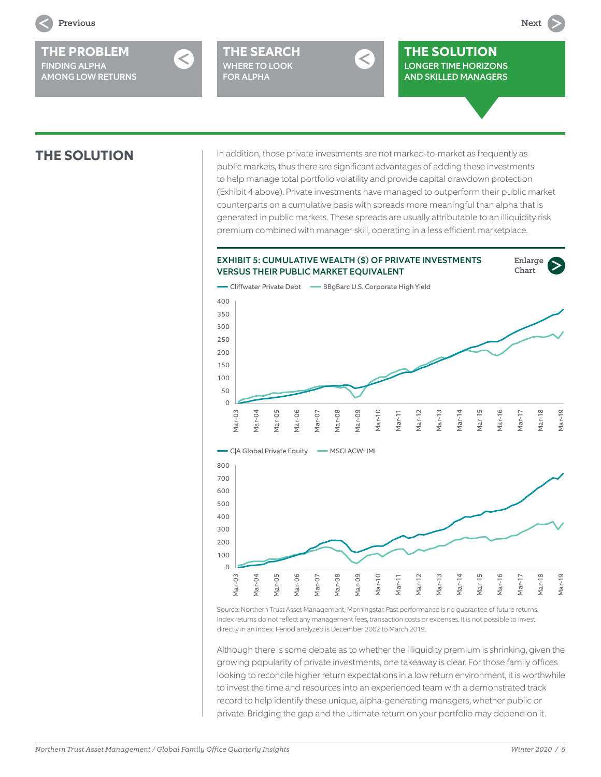

**[THE SEARCH](#page-3-0)** WHERE TO LOOK FOR ALPHA

**THE SOLUTION** LONGER TIME HORIZONS AND SKILLED MANAGERS

# <span id="page-5-0"></span>**THE SOLUTION**

In addition, those private investments are not marked-to-market as frequently as public markets, thus there are significant advantages of adding these investments to help manage total portfolio volatility and provide capital drawdown protection (Exhibit 4 above). Private investments have managed to outperform their public market counterparts on a cumulative basis with spreads more meaningful than alpha that is generated in public markets. These spreads are usually attributable to an illiquidity risk premium combined with manager skill, operating in a less efficient marketplace.



Source: Northern Trust Asset Management, Morningstar. Past performance is no guarantee of future returns. Index returns do not reflect any management fees, transaction costs or expenses. It is not possible to invest directly in an index. Period analyzed is December 2002 to March 2019.

Although there is some debate as to whether the illiquidity premium is shrinking, given the growing popularity of private investments, one takeaway is clear. For those family offices looking to reconcile higher return expectations in a low return environment, it is worthwhile to invest the time and resources into an experienced team with a demonstrated track record to help identify these unique, alpha-generating managers, whether public or private. Bridging the gap and the ultimate return on your portfolio may depend on it.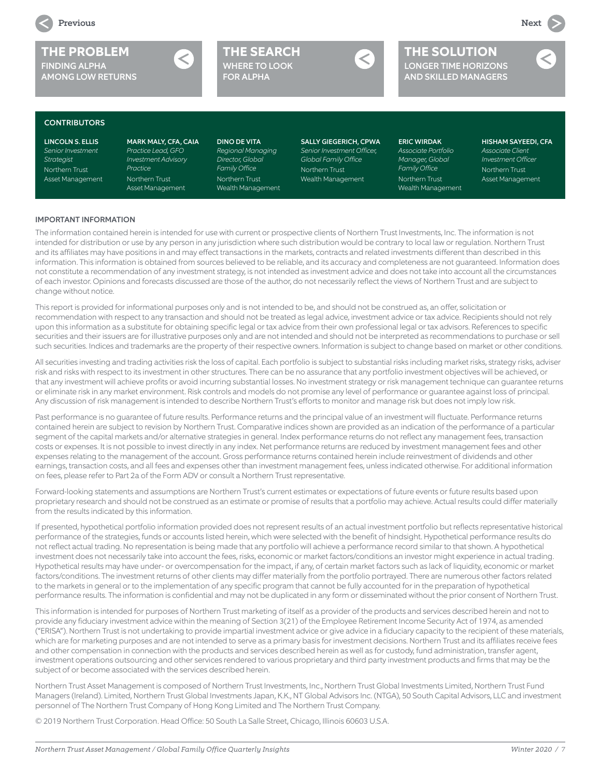# <span id="page-6-0"></span>**[THE PROBLEM](#page-1-0)**

FINDING ALPHA AMONG LOW RETURNS



**[THE SEARCH](#page-3-0)** WHERE TO LOOK FOR ALPHA

## **[THE SOLUTION](#page-4-0)** LONGER TIME HORIZONS AND SKILLED MANAGERS

## **CONTRIBUTORS**

LINCOLN S. ELLIS *Senior Investment Strategist*  Northern Trust Asset Management MARK MALY, CFA, CAIA *Practice Lead, GFO Investment Advisory Practice* Northern Trust Asset Management

DINO DE VITA *Regional Managing Director, Global Family Office* Northern Trust Wealth Management SALLY GIEGERICH, CPWA *Senior Investment Officer, Global Family Office* Northern Trust Wealth Management

ERIC WIRDAK *Associate Portfolio Manager, Global Family Office* Northern Trust Wealth Management

## HISHAM SAYEEDI, CFA

*Associate Client Investment Officer* Northern Trust Asset Management

## IMPORTANT INFORMATION

The information contained herein is intended for use with current or prospective clients of Northern Trust Investments, Inc. The information is not intended for distribution or use by any person in any jurisdiction where such distribution would be contrary to local law or regulation. Northern Trust and its affiliates may have positions in and may effect transactions in the markets, contracts and related investments different than described in this information. This information is obtained from sources believed to be reliable, and its accuracy and completeness are not guaranteed. Information does not constitute a recommendation of any investment strategy, is not intended as investment advice and does not take into account all the circumstances of each investor. Opinions and forecasts discussed are those of the author, do not necessarily reflect the views of Northern Trust and are subject to change without notice.

This report is provided for informational purposes only and is not intended to be, and should not be construed as, an offer, solicitation or recommendation with respect to any transaction and should not be treated as legal advice, investment advice or tax advice. Recipients should not rely upon this information as a substitute for obtaining specific legal or tax advice from their own professional legal or tax advisors. References to specific securities and their issuers are for illustrative purposes only and are not intended and should not be interpreted as recommendations to purchase or sell such securities. Indices and trademarks are the property of their respective owners. Information is subject to change based on market or other conditions.

All securities investing and trading activities risk the loss of capital. Each portfolio is subject to substantial risks including market risks, strategy risks, adviser risk and risks with respect to its investment in other structures. There can be no assurance that any portfolio investment objectives will be achieved, or that any investment will achieve profits or avoid incurring substantial losses. No investment strategy or risk management technique can guarantee returns or eliminate risk in any market environment. Risk controls and models do not promise any level of performance or guarantee against loss of principal. Any discussion of risk management is intended to describe Northern Trust's efforts to monitor and manage risk but does not imply low risk.

Past performance is no guarantee of future results. Performance returns and the principal value of an investment will fluctuate. Performance returns contained herein are subject to revision by Northern Trust. Comparative indices shown are provided as an indication of the performance of a particular segment of the capital markets and/or alternative strategies in general. Index performance returns do not reflect any management fees, transaction costs or expenses. It is not possible to invest directly in any index. Net performance returns are reduced by investment management fees and other expenses relating to the management of the account. Gross performance returns contained herein include reinvestment of dividends and other earnings, transaction costs, and all fees and expenses other than investment management fees, unless indicated otherwise. For additional information on fees, please refer to Part 2a of the Form ADV or consult a Northern Trust representative.

Forward-looking statements and assumptions are Northern Trust's current estimates or expectations of future events or future results based upon proprietary research and should not be construed as an estimate or promise of results that a portfolio may achieve. Actual results could differ materially from the results indicated by this information.

If presented, hypothetical portfolio information provided does not represent results of an actual investment portfolio but reflects representative historical performance of the strategies, funds or accounts listed herein, which were selected with the benefit of hindsight. Hypothetical performance results do not reflect actual trading. No representation is being made that any portfolio will achieve a performance record similar to that shown. A hypothetical investment does not necessarily take into account the fees, risks, economic or market factors/conditions an investor might experience in actual trading. Hypothetical results may have under- or overcompensation for the impact, if any, of certain market factors such as lack of liquidity, economic or market factors/conditions. The investment returns of other clients may differ materially from the portfolio portrayed. There are numerous other factors related to the markets in general or to the implementation of any specific program that cannot be fully accounted for in the preparation of hypothetical performance results. The information is confidential and may not be duplicated in any form or disseminated without the prior consent of Northern Trust.

This information is intended for purposes of Northern Trust marketing of itself as a provider of the products and services described herein and not to provide any fiduciary investment advice within the meaning of Section 3(21) of the Employee Retirement Income Security Act of 1974, as amended ("ERISA"). Northern Trust is not undertaking to provide impartial investment advice or give advice in a fiduciary capacity to the recipient of these materials, which are for marketing purposes and are not intended to serve as a primary basis for investment decisions. Northern Trust and its affiliates receive fees and other compensation in connection with the products and services described herein as well as for custody, fund administration, transfer agent, investment operations outsourcing and other services rendered to various proprietary and third party investment products and firms that may be the subject of or become associated with the services described herein.

Northern Trust Asset Management is composed of Northern Trust Investments, Inc., Northern Trust Global Investments Limited, Northern Trust Fund Managers (Ireland). Limited, Northern Trust Global Investments Japan, K.K., NT Global Advisors Inc. (NTGA), 50 South Capital Advisors, LLC and investment personnel of The Northern Trust Company of Hong Kong Limited and The Northern Trust Company.

© 2019 Northern Trust Corporation. Head Office: 50 South La Salle Street, Chicago, Illinois 60603 U.S.A.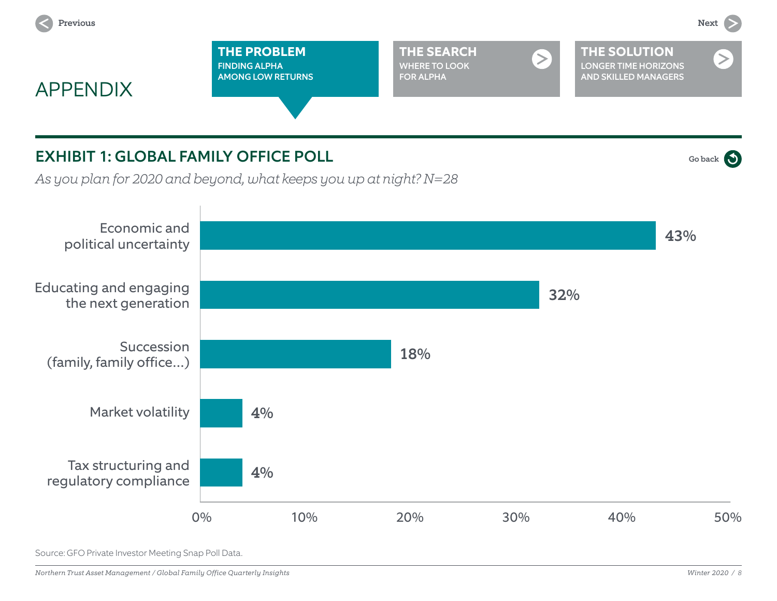<span id="page-7-0"></span>

[Go back](#page-1-0)  $\bigcirc$ 

**[THE SOLUTION](#page-4-0)** LONGER TIME HORIZONS AND SKILLED MANAGERS

 $\geq$ 



# EXHIBIT 1: GLOBAL FAMILY OFFICE POLL

*As you plan for 2020 and beyond, what keeps you up at night? N=28*

**THE PROBLEM** FINDING ALPHA AMONG LOW RETURNS



**[THE SEARCH](#page-3-0)** WHERE TO LOOK FOR ALPHA

Source: GFO Private Investor Meeting Snap Poll Data.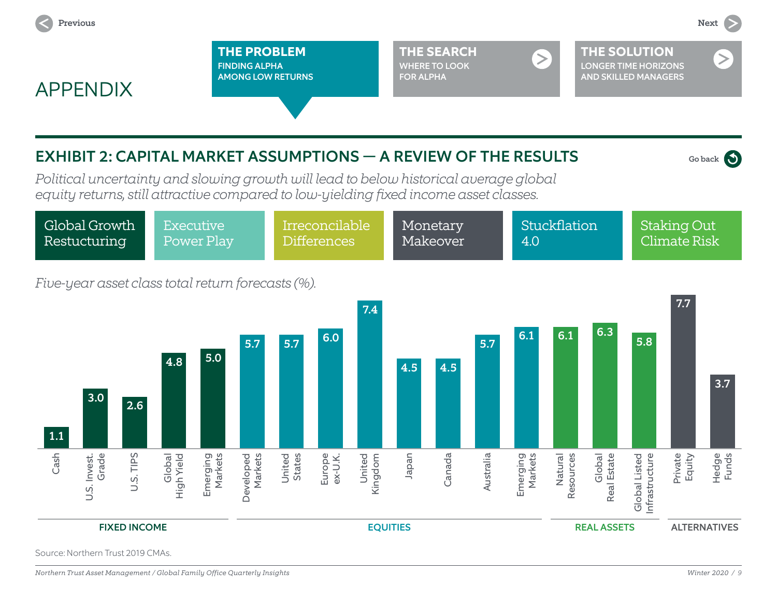<span id="page-8-0"></span>



**[THE SEARCH](#page-3-0)** WHERE TO LOOK FOR ALPHA



**[THE SOLUTION](#page-4-0)** LONGER TIME HORIZONS AND SKILLED MANAGERS

# EXHIBIT 2: CAPITAL MARKET ASSUMPTIONS — A REVIEW OF THE RESULTS

*Political uncertainty and slowing growth will lead to below historical average global equity returns, still attractive compared to low-yielding fixed income asset classes.*

| Global Growth                                     | Executive  | Irreconcilable     | Monetary | Stuckflation | Staking Out  |
|---------------------------------------------------|------------|--------------------|----------|--------------|--------------|
| Restucturing                                      | Power Play | <b>Differences</b> | Makeover | 4.0          | Climate Risk |
| Five-year asset class total return forecasts (%). |            |                    |          |              |              |



Source: Northern Trust 2019 CMAs.

[Go back](#page-2-0)  $\bigcirc$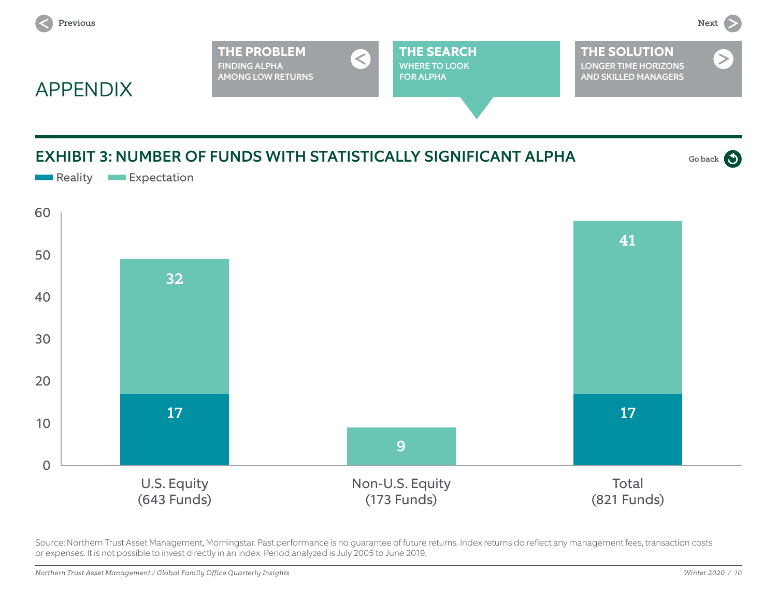<span id="page-9-0"></span>

APPENDIX

**[THE PROBLEM](#page-1-0)** FINDING ALPHA AMONG LOW RETURNS **THE SEARCH** WHERE TO LOOK FOR ALPHA

## **[THE SOLUTION](#page-4-0)** LONGER TIME HORIZONS AND SKILLED MANAGERS

 $\leq$ 





Source: Northern Trust Asset Management, Morningstar. Past performance is no guarantee of future returns. Index returns do reflect any management fees, transaction costs or expenses. It is not possible to invest directly in an index. Period analyzed is July 2005 to June 2019.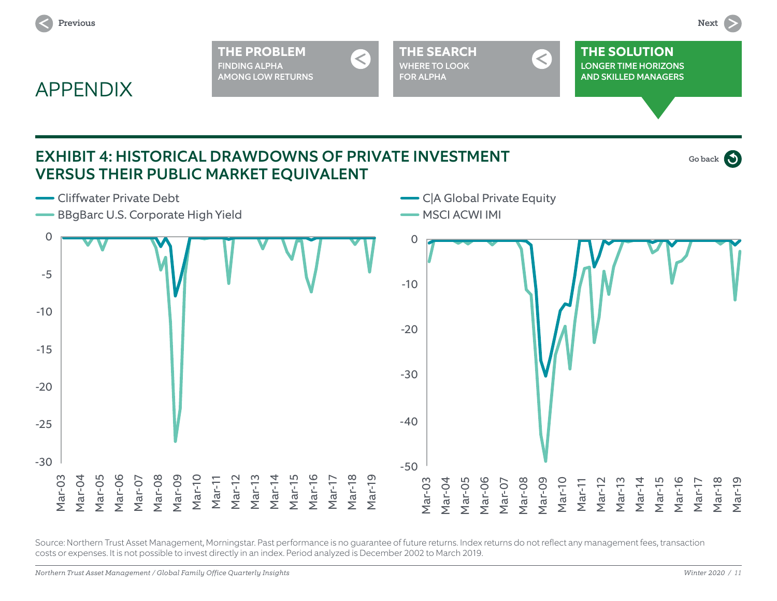<span id="page-10-0"></span>

Source: Northern Trust Asset Management, Morningstar. Past performance is no guarantee of future returns. Index returns do not reflect any management fees, transaction costs or expenses. It is not possible to invest directly in an index. Period analyzed is December 2002 to March 2019.